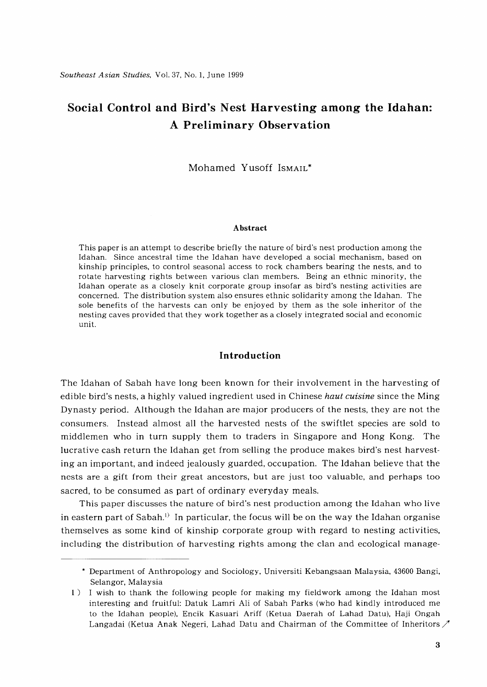# **Social Control and Bird's Nest Harvesting among the Idahan: A Preliminary Observation**

Mohamed Yusoff ISMAIL\*

#### **Abstract**

This paper is an attempt to describe briefly the nature of bird's nest production among the Idahan. Since ancestral time the Idahan have developed a social mechanism, based on kinship principles, to control seasonal access to rock chambers bearing the nests, and to rotate harvesting rights between various clan members. Being an ethnic minority, the Idahan operate as a closely knit corporate group insofar as bird's nesting activities are concerned. The distribution system also ensures ethnic solidarity among the Idahan. The sole benefits of the harvests can only be enjoyed by them as the sole inheritor of the nesting caves provided that they work together as a closely integrated social and economic unit.

## **Introduction**

The Idahan of Sabah have long been known for their involvement in the harvesting of edible bird's nests, a highly valued ingredient used in Chinese *haut cuisine* since the Ming Dynasty period. Although the Idahan are major producers of the nests, they are not the consumers. Instead almost all the harvested nests of the swiftlet species are sold to middlemen who in turn supply them to traders **in** Singapore and Hong Kong. The lucrative cash return the Idahan get from selling the produce makes bird's nest harvesting an important, and indeed jealously guarded, occupation. The Idahan believe that the nests are a gift from their great ancestors, but are just too valuable, and perhaps too sacred, to be consumed as part of ordinary everyday meals.

This paper discusses the nature of bird's nest production among the Idahan who live in eastern part of Sabah.<sup>1)</sup> In particular, the focus will be on the way the Idahan organise themselves as some kind of kinship corporate group with regard to nesting activities, including the distribution of harvesting rights among the clan and ecological manage-

<sup>\*</sup> Department of Anthropology and Sociology, Universiti Kebangsaan Malaysia, 43600 Bangi, Selangor, Malaysia

<sup>1)</sup> I wish to thank the following people for making my fieldwork among the Idahan most interesting and fruitful: Datuk Lamri Ali of Sabah Parks (who had kindly introduced me to the Idahan people), Encik Kasuari Ariff (Ketua Daerah of Lahad Datu), Haji Ongah Langadai (Ketua Anak Negeri, Lahad Datu and Chairman of the Committee of Inheritors  $\mathcal{P}$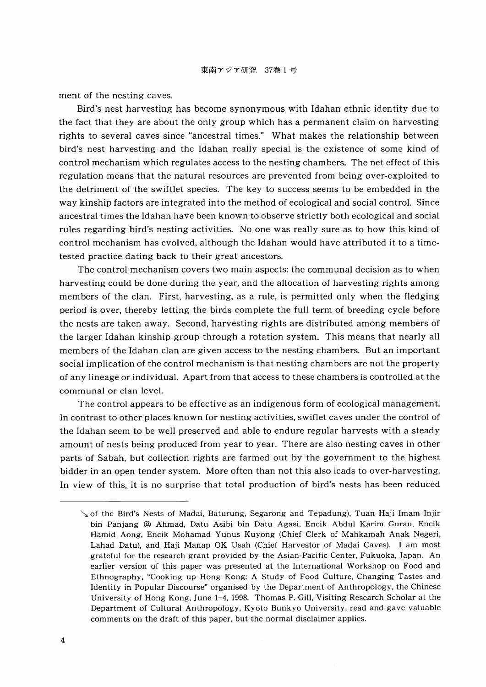ment of the nesting caves.

Bird's nest harvesting has become synonymous with Idahan ethnic identity due to the fact that they are about the only group which has a permanent claim on harvesting rights to several caves since "ancestral times." What makes the relationship between bird's nest harvesting and the Idahan really special is the existence of some kind of control mechanism which regulates access to the nesting chambers. The net effect of this regulation means that the natural resources are prevented from being over-exploited to the detriment of the swiftlet species. The key to success seems to be embedded in the way kinship factors are integrated into the method of ecological and social control. Since ancestral times the Idahan have been known to observe strictly both ecological and social rules regarding bird's nesting activities. No one was really sure as to how this kind of control mechanism has evolved, although the Idahan would have attributed it to a timetested practice dating back to their great ancestors.

The control mechanism covers two main aspects: the communal decision as to when harvesting could be done during the year, and the allocation of harvesting rights among members of the clan. First, harvesting, as a rule, is permitted only when the fledging period is over, thereby letting the birds complete the full term of breeding cycle before the nests are taken away. Second, harvesting rights are distributed among members of the larger Idahan kinship group through a rotation system. This means that nearly all members of the Idahan clan are given access to the nesting chambers. But an important social implication of the control mechanism is that nesting chambers are not the property of any lineage or individual. Apart from that access to these chambers is controlled at the communal or clan level.

The control appears to be effective as an indigenous form of ecological management. In contrast to other places known for nesting activities, swiflet caves under the control of the Idahan seem to be well preserved and able to endure regular harvests with a steady amount of nests being produced from year to year. There are also nesting caves in other parts of Sabah, but collection rights are farmed out by the government to the highest bidder in an open tender system. More often than not this also leads to over-harvesting. In view of this, it is no surprise that total production of bird's nests has been reduced

of the Bird's Nests of Madai, Baturung, Segarong and Tepadung), Tuan Haji Imam Injir bin Panjang @ Ahmad, Datu Asibi bin Datu Agasi, Encik Abdul Karim Gurau, Encik Hamid Aong, Encik Mohamad Yunus Kuyong (Chief Clerk of Mahkamah Anak Negeri, Lahad Datu), and Haji Manap OK Usah (Chief Harvestor of Madai Caves). I am most grateful for the research grant provided by the Asian-Pacific Center, Fukuoka, Japan. An earlier version of this paper was presented at the International Workshop on Food and Ethnography, "Cooking up Hong Kong: A Study of Food Culture, Changing Tastes and Identity in Popular Discourse" organised by the Department of Anthropology, the Chinese University of Hong Kong, June 1-4, 1998. Thomas P. Gill, Visiting Research Scholar at the Department of Cultural Anthropology, Kyoto Bunkyo University, read and gave valuable comments on the draft of this paper, but the normal disclaimer applies.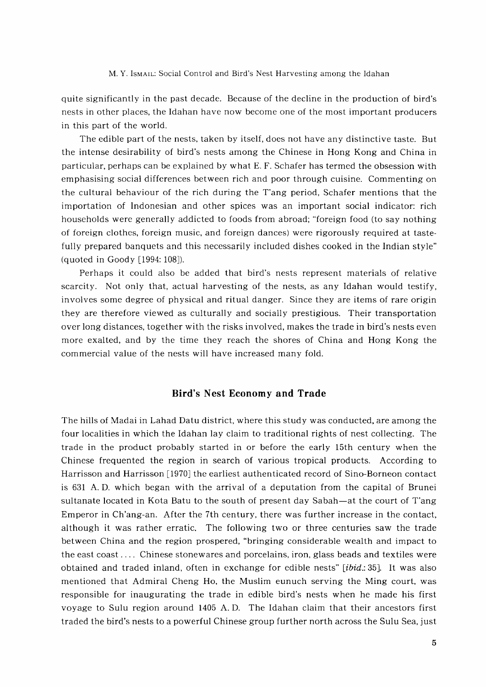quite significantly in the past decade. Because of the decline in the production of bird's nests in other places, the Idahan have now become one of the most important producers in this part of the world.

The edible part of the nests, taken by itself, does not have any distinctive taste. But the intense desirability of bird's nests among the Chinese in Hong Kong and China in particular, perhaps can be explained by what E. F. Schafer has termed the obsession with emphasising social differences between rich and poor through cuisine. Commenting on the cultural behaviour of the rich during the T'ang period, Schafer mentions that the importation of Indonesian and other spices was an important social indicator: rich households were generally addicted to foods from abroad; "foreign food (to say nothing of foreign clothes, foreign music, and foreign dances) were rigorously required at tastefully prepared banquets and this necessarily included dishes cooked in the Indian style" (quoted in Goody  $[1994:108]$ ).

Perhaps it could also be added that bird's nests represent materials of relative scarcity. Not only that, actual harvesting of the nests, as any Idahan would testify, involves some degree of physical and ritual danger. Since they are items of rare origin they are therefore viewed as culturally and socially prestigious. Their transportation over long distances, together with the risks involved, makes the trade in bird's nests even more exalted, and by the time they reach the shores of China and Hong Kong the commercial value of the nests will have increased many fold.

## **Bird's Nest Economy and Trade**

The hills of Madai in Lahad Datu district, where this study was conducted, are among the four localities in which the Idahan lay claim to traditional rights of nest collecting. The trade in the product probably started in or before the early 15th century when the Chinese frequented the region in search of various tropical products. According to Harrisson and Harrisson [1970] the earliest authenticated record of Sino-Borneon contact is 631 A. D. which began with the arrival of a deputation from the capital of Brunei sultanate located in Kota Batu to the south of present day Sabah—at the court of T'ang Emperor in Ch'ang-an. After the 7th century, there was further increase in the contact, although it was rather erratic. The following two or three centuries saw the trade between China and the region prospered, "bringing considerable wealth and impact to the east coast .... Chinese stonewares and porcelains, iron, glass beads and textiles were obtained and traded inland, often in exchange for edible nests" *[ibid.*: 35]. It was also mentioned that Admiral Cheng Ho, the Muslim eunuch serving the Ming court, was responsible for inaugurating the trade in edible bird's nests when he made his first voyage to Sulu region around 1405 A. D. The Idahan claim that their ancestors first traded the bird's nests to a powerful Chinese group further north across the Sulu Sea, just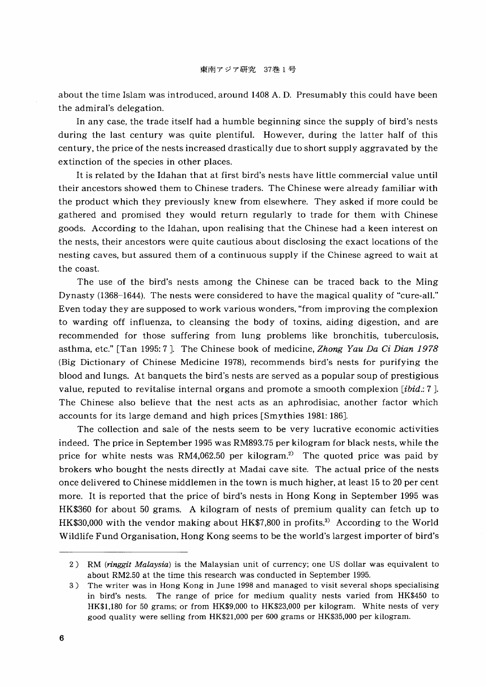about the time Islam was introduced, around 1408 A. D. Presumably this could have been the admiral's delegation.

In any case, the trade itself had a humble beginning since the supply of bird's nests during the last century was quite plentiful. However, during the latter half of this century, the price of the nests increased drastically due to short supply aggravated by the extinction of the species in other places.

It is related by the Idahan that at first bird's nests have little commercial value until their ancestors showed them to Chinese traders. The Chinese were already familiar with the product which they previously knew from elsewhere. They asked if more could be gathered and promised they would return regularly to trade for them with Chinese goods. According to the Idahan, upon realising that the Chinese had a keen interest on the nests, their ancestors were quite cautious about disclosing the exact locations of the nesting caves, but assured them of a continuous supply if the Chinese agreed to wait at the coast.

The use of the bird's nests among the Chinese can be traced back to the Ming Dynasty (1368-1644). The nests were considered to have the magical quality of "cure-all." Even today they are supposed to work various wonders, "from improving the complexion to warding off influenza, to cleansing the body of toxins, aiding digestion, and are recommended for those suffering from lung problems like bronchitis, tuberculosis, asthma, etc." [Tan 1995: 7]. The Chinese book of medicine, *Zhong Yau Da* Ci *Dian 1978* (Big Dictionary of Chinese Medicine 1978), recommends bird's nests for purifying the blood and lungs. At banquets the bird's nests are served as a popular soup of prestigious value, reputed to revitalise internal organs and promote a smooth complexion *[ibid.:* 7 ]. The Chinese also believe that the nest acts as an aphrodisiac, another factor which accounts for its large demand and high prices [Smythies 1981: 186J.

The collection and sale of the nests seem to be very lucrative economic activities indeed. The price in September 1995 was RM893.75 per kilogram for black nests, while the price for white nests was RM4,062.50 per kilogram.<sup>2)</sup> The quoted price was paid by brokers who bought the nests directly at Madai cave site. The actual price of the nests once delivered to Chinese middlemen in the town is much higher, at least 15 to 20 per cent more. It is reported that the price of bird's nests in Hong Kong in September 1995 was HK\$360 for about 50 grams. A kilogram of nests of premium quality can fetch up to HK\$30,000 with the vendor making about HK\$7,800 in profits.<sup>3)</sup> According to the World Wildlife Fund Organisation, Hong Kong seems to be the world's largest importer of bird's

<sup>2)</sup> RM *(ringgit Malaysia)* is the Malaysian unit of currency; one US dollar was equivalent to about RM2.50 at the time this research was conducted in September 1995.

<sup>3)</sup> The writer was in Hong Kong in June 1998 and managed to visit several shops specialising in bird's nests. The range of price for medium quality nests varied from HK\$450 to HK\$1,180 for 50 grams; or from HK\$9,000 to HK\$23,000 per kilogram. White nests of very good quality were selling from HK\$21,000 per 600 grams or HK\$35,000 per kilogram.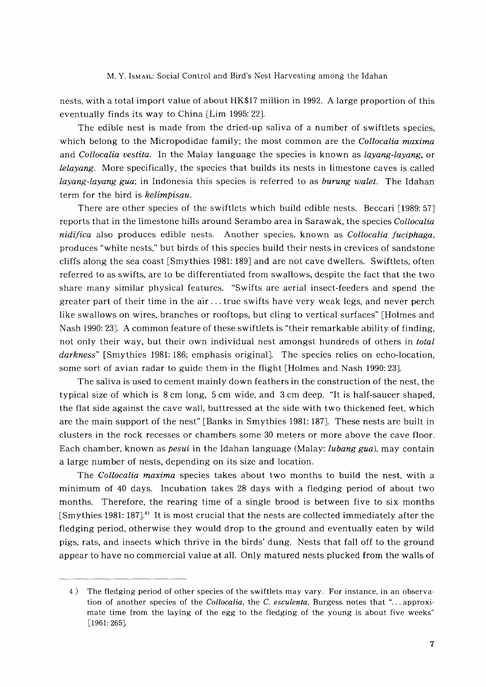nests, with a total import value of about HK\$17 million in 1992. A large proportion of this eventually finds its way to China [Lim 1995: 22J.

The edible nest is made from the dried-up saliva of a number of swiftlets species, which belong to the Micropodidae family; the most common are the *Collocalia maxima* and *Collocalia vestita.* In the Malay language the species is known as *layang-layang,* or *lelayang.* More specifically, the species that builds its nests in limestone caves is called *layang-layang gua;* in Indonesia this species is referred to as *burung walet.* The Idahan term for the bird is *kelimpisau.*

There are other species of the swiftlets which build edible nests. Beccari [1989: 57] reports that in the limestone hills around Serambo area in Sarawak, the species *Collocalia nidifica* also produces edible nests. Another species, known as *Collocalia fuciphaga,* produces "white nests," but birds of this species build their nests in crevices of sandstone cliffs along the sea coast  $S$ mythies 1981: 189 and are not cave dwellers. Swiftlets, often referred to as swifts, are to be differentiated from swallows, despite the fact that the two share many similar physical features. "Swifts are aerial insect-feeders and spend the greater part of their time in the air ... true swifts have very weak legs, and never perch like swallows on wires, branches or rooftops, but cling to vertical surfaces" [Holmes and Nash 1990: 23]. A common feature of these swiftlets is "their remarkable ability of finding, not only their way, but their own individual nest amongst hundreds of others in *total* darkness" [Smythies 1981: 186; emphasis original]. The species relies on echo-location, some sort of avian radar to guide them in the flight [Holmes and Nash 1990: 23J.

The saliva is used to cement mainly down feathers in the construction of the nest, the typical size of which is 8 cm long, 5 cm wide, and 3 cm deep. "It is half-saucer shaped, the flat side against the cave wall, buttressed at the side with two thickened feet, which are the main support of the nest" [Banks in Smythies 1981: 187J. These nests are built in clusters in the rock recesses or chambers some 30 meters or more above the cave floor. Each chamber, known as *pesui* in the Idahan language (Malay: *lubang gua),* may contain a large number of nests, depending on its size and location.

The *Collocalia maxima* species takes about two months to build the nest, with a minimum of 40 days. Incubation takes 28 days with a fledging period of about two months. Therefore, the rearing time of a single brood is between five to six months [Smythies 1981: 187].4) It is most crucial that the nests are collected immediately after the fledging period, otherwise they would drop to the ground and eventually eaten by wild pigs, rats, and insects which thrive in the birds' dung. Nests that fall off to the ground appear to have no commercial value at all. Only matured nests plucked from the walls of

<sup>4)</sup> The fledging period of other species of the swiftlets may vary. For instance, in an observation of another species of the *Collocalia,* the C. *esculenta,* Burgess notes that "... approximate time from the laying of the egg to the fledging of the young is about five weeks" [1961:265].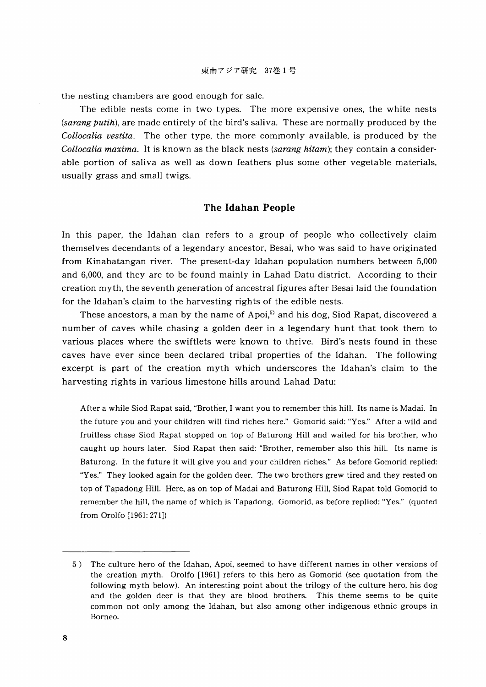the nesting chambers are good enough for sale.

The edible nests come in two types. The more expensive ones, the white nests *(sarang putih),* are made entirely of the bird's saliva. These are normally produced by the *Collocalia vestita.* The other type, the more commonly available, is produced by the *Collocalia maxima.* It is known as the black nests *(sarang hitam);* they contain a considerable portion of saliva as well as down feathers plus some other vegetable materials, usually grass and small twigs.

# **The Idahan People**

In this paper, the Idahan clan refers to a group of people who collectively claim themselves decendants of a legendary ancestor, Besai, who was said to have originated from Kinabatangan river. The present-day Idahan population numbers between 5,000 and 6,000, and they are to be found mainly in Lahad Datu district. According to their creation myth, the seventh generation of ancestral figures after Besai laid the foundation for the Idahan's claim to the harvesting rights of the edible nests.

These ancestors, a man by the name of Apoi,<sup>5)</sup> and his dog, Siod Rapat, discovered a number of caves while chasing a golden deer in a legendary hunt that took them to various places where the swiftlets were known to thrive. Bird's nests found in these caves have ever since been declared tribal properties of the Idahan. The following excerpt is part of the creation myth which underscores the Idahan's claim to the harvesting rights in various limestone hills around Lahad Datu:

After a while Siod Rapat said, "Brother, I want you to remember this hill. Its name is Madai. In the future you and your children will find riches here." Gomorid said: "Yes." After a wild and fruitless chase Siod Rapat stopped on top of Baturong Hill and waited for his brother, who caught up hours later. Siod Rapat then said: "Brother, remember also this hill. Its name is Baturong. In the future it will give you and your children riches." As before Gomorid replied: "Yes." They looked again for the golden deer. The two brothers grew tired and they rested on top of Tapadong Hill. Here, as on top of Madai and Baturong Hill, Siod Rapat told Gomorid to remember the hill, the name of which is Tapadong. Gomorid, as before replied: "Yes." (quoted from Grolfo [1961: 271J)

<sup>5)</sup> The culture hero of the Idahan, Apoi, seemed to have different names in other versions of the creation myth. Grolfo [1961J refers to this hero as Gomorid (see quotation from the following myth below). An interesting point about the trilogy of the culture hero, his dog and the golden deer is that they are blood brothers. This theme seems to be quite common not only among the Idahan, but also among other indigenous ethnic groups in Borneo.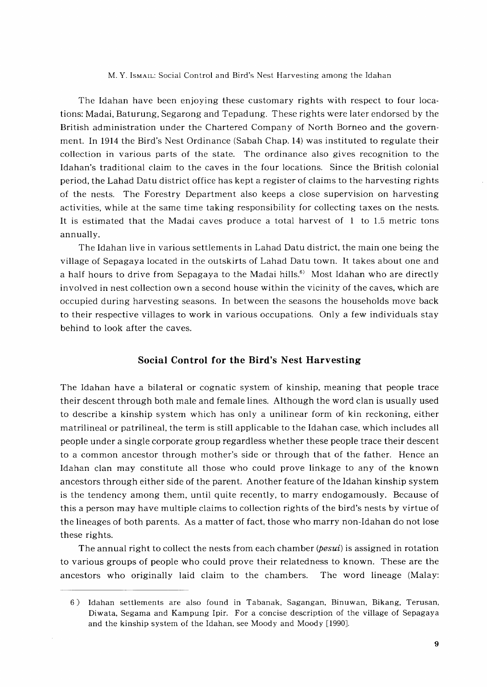The Idahan have been enjoying these customary rights with respect to four locations: Madai, Baturung, Segarong and Tepadung. These rights were later endorsed by the British administration under the Chartered Company of North Borneo and the government. In 1914 the Bird's Nest Ordinance (Sabah Chap. 14) was instituted to regulate their collection in various parts of the state. The ordinance also gives recognition to the Idahan's traditional claim to the caves in the four locations. Since the British colonial period, the Lahad Datu district office has kept a register of claims to the harvesting rights of the nests. The Forestry Department also keeps a close supervision on harvesting activities, while at the same time taking responsibility for collecting taxes on the nests. It is estimated that the Madai caves produce a total harvest of 1 to 1.5 metric tons annually.

The Idahan live in various settlements in Lahad Datu district, the main one being the village of Sepagaya located in the outskirts of Lahad Datu town. It takes about one and a half hours to drive from Sepagaya to the Madai hills.<sup>6)</sup> Most Idahan who are directly involved in nest collection own a second house within the vicinity of the caves, which are occupied during harvesting seasons. In between the seasons the households move back to their respective villages to work in various occupations. Only a few individuals stay behind to look after the caves.

## **Social Control for the Bird's Nest Harvesting**

The Idahan have a bilateral or cognatic system of kinship, meaning that people trace their descent through both male and female lines. Although the word clan is usually used to describe a kinship system which has only a unilinear form of kin reckoning, either matrilineal or patrilineal, the term is still applicable to the Idahan case, which includes all people under a single corporate group regardless whether these people trace their descent to a common ancestor through mother's side or through that of the father. Hence an Idahan clan may constitute all those who could prove linkage to any of the known ancestors through either side of the parent. Another feature of the Idahan kinship system is the tendency among them, until quite recently, to marry endogamously. Because of this a person may have multiple claims to collection rights of the bird's nests by virtue of the lineages of both parents. As a matter of fact, those who marry non-Idahan do not lose these rights.

The annual right to collect the nests from each chamber (*pesui*) is assigned in rotation to various groups of people who could prove their relatedness to known. These are the ancestors who originally laid claim to the chambers. The word lineage (Malay:

<sup>6)</sup> Idahan settlements are also found in Tabanak, Sagangan, Binuwan, Bikang, Terusan, Diwata, Segama and Kampung Ipir. For a concise description of the village of Sepagaya and the kinship system of the Idahan, see Moody and Moody [1990].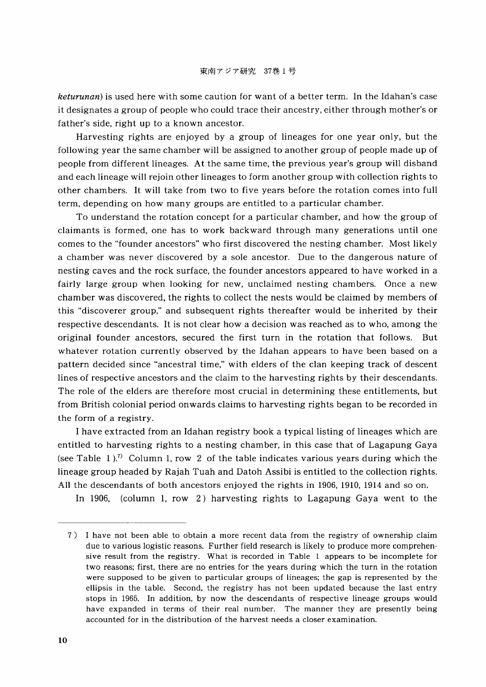*keturunan*) is used here with some caution for want of a better term. In the Idahan's case it designates a group of people who could trace their ancestry, either through mother's or father's side, right up to a known ancestor.

Harvesting rights are enjoyed by a group of lineages for one year only, but the following year the same chamber will be assigned to another group of people made up of people from different lineages. At the same time, the previous year's group will disband and each lineage will rejoin other lineages to form another group with collection rights to other chambers. It will take from two to five years before the rotation comes into full term, depending on how many groups are entitled to a particular chamber.

To understand the rotation concept for a particular chamber, and how the group of claimants is formed, one has to work backward through many generations until one comes to the "founder ancestors" who first discovered the nesting chamber. Most likely a chamber was never discovered by a sole ancestor. Due to the dangerous nature of nesting caves and the rock surface, the founder ancestors appeared to have worked in a fairly large group when looking for new, unclaimed nesting chambers. Once a new chamber was discovered, the rights to collect the nests would be claimed by members of this "discoverer group," and subsequent rights thereafter would be inherited by their respective descendants. It is not clear how a decision was reached as to who, among the original founder ancestors, secured the first turn in the rotation that follows. But whatever rotation currently observed by the Idahan appears to have been based on a pattern decided since "ancestral time," with elders of the clan keeping track of descent lines of respective ancestors and the claim to the harvesting rights by their descendants. The role of the elders are therefore most crucial in determining these entitlements, but from British colonial period onwards claims to harvesting rights began to be recorded in the form of a registry.

I have extracted from an Idahan registry book a typical listing of lineages which are entitled to harvesting rights to a nesting chamber, in this case that of Lagapung Gaya (see Table 1).<sup>7)</sup> Column 1, row 2 of the table indicates various years during which the lineage group headed by Rajah Tuah and Datoh Assibi is entitled to the collection rights. All the descendants of both ancestors enjoyed the rights in 1906, 1910, 1914 and so on.

In 1906, (column 1, row 2) harvesting rights to Lagapung Gaya went to the

<sup>7)</sup> I have not been able to obtain a more recent data from the registry of ownership claim due to various logistic reasons. Further field research is likely to produce more comprehensive result from the registry. What is recorded in Table 1 appears to be incomplete for two reasons; first, there are no entries for the years during which the turn in the rotation were supposed to be given to particular groups of lineages; the gap is represented by the ellipsis in the table. Second, the registry has not been updated because the last entry stops in 1965. In addition, by now the descendants of respective lineage groups would have expanded in terms of their real number. The manner they are presently being accounted for in the distribution of the harvest needs a closer examination.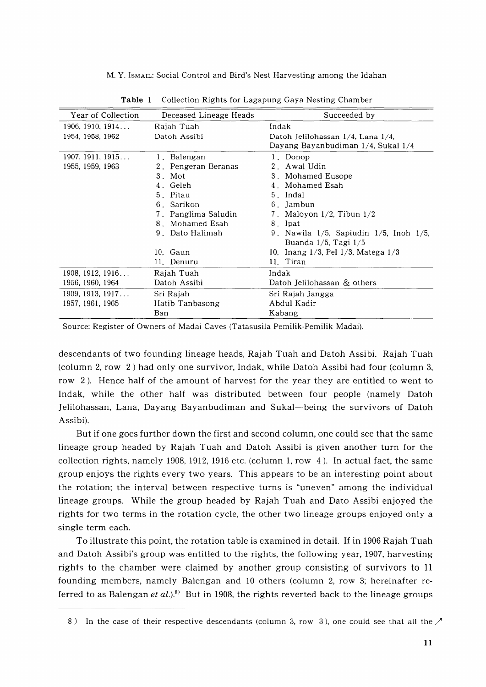| Year of Collection | Deceased Lineage Heads | Succeeded by                                    |
|--------------------|------------------------|-------------------------------------------------|
| 1906, 1910, 1914   | Rajah Tuah             | Indak                                           |
| 1954, 1958, 1962   | Datoh Assibi           | Datoh Jelilohassan 1/4, Lana 1/4,               |
|                    |                        | Dayang Bayanbudiman 1/4, Sukal 1/4              |
| 1907, 1911, 1915   | 1. Balengan            | 1. Donop                                        |
| 1955, 1959, 1963   | 2. Pengeran Beranas    | 2. Awal Udin                                    |
|                    | 3. Mot                 | 3. Mohamed Eusope                               |
|                    | 4. Geleh               | 4. Mohamed Esah                                 |
|                    | 5. Pitau               | 5. Indal                                        |
|                    | 6. Sarikon             | 6. Jambun                                       |
|                    | 7. Panglima Saludin    | 7. Maloyon $1/2$ , Tibun $1/2$                  |
|                    | 8. Mohamed Esah        | 8. Ipat                                         |
|                    | 9. Dato Halimah        | 9. Nawila $1/5$ , Sapiudin $1/5$ , Inoh $1/5$ , |
|                    |                        | Buanda $1/5$ , Tagi $1/5$                       |
|                    | 10. Gaun               | 10. Inang 1/3, Pel 1/3, Matega 1/3              |
|                    | 11. Denuru             | 11. Tiran                                       |
| 1908, 1912, 1916   | Rajah Tuah             | Indak                                           |
| 1956, 1960, 1964   | Datoh Assibi           | Datoh Jelilohassan & others                     |
| 1909, 1913, 1917   | Sri Rajah              | Sri Rajah Jangga                                |
| 1957, 1961, 1965   | Hatib Tanbasong        | Abdul Kadir                                     |
|                    | Ban                    | Kabang                                          |
|                    |                        |                                                 |

**Table 1** Collection Rights for Lagapung Gaya Nesting Chamber

Source: Register of Owners of Madai Caves (Tatasusila Pemilik-Pemilik Madai).

descendants of two founding lineage heads, Rajah Tuah and Datoh Assibi. Rajah Tuah (column 2, row 2) had only one survivor, Indak, while Datoh Assibi had four (column 3, row 2). Hence half of the amount of harvest for the year they are entitled to went to Indak, while the other half was distributed between four people (namely Datoh Jelilohassan, Lana, Dayang Bayanbudiman and Sukal-being the survivors of Datoh Assibi).

But if one goes further down the first and second column, one could see that the same lineage group headed by Rajah Tuah and Datoh Assibi is given another turn for the collection rights, namely 1908, 1912, 1916 etc. (column 1, row 4). In actual fact, the same group enjoys the rights every two years. This appears to be an interesting point about the rotation; the interval between respective turns is "uneven" among the individual lineage groups. While the group headed by Rajah Tuah and Dato Assibi enjoyed the rights for two terms in the rotation cycle, the other two lineage groups enjoyed only a single term each.

To illustrate this point, the rotation table is examined in detail. If in 1906 Rajah Tuah and Datoh Assibi's group was entitled to the rights, the following year, 1907, harvesting rights to the chamber were claimed by another group consisting of survivors to 11 founding members, namely Balengan and 10 others (column 2, row 3; hereinafter referred to as Balengan et al.).<sup>8)</sup> But in 1908, the rights reverted back to the lineage groups

<sup>8)</sup> In the case of their respective descendants (column 3, row 3), one could see that all the  $\mathcal{I}$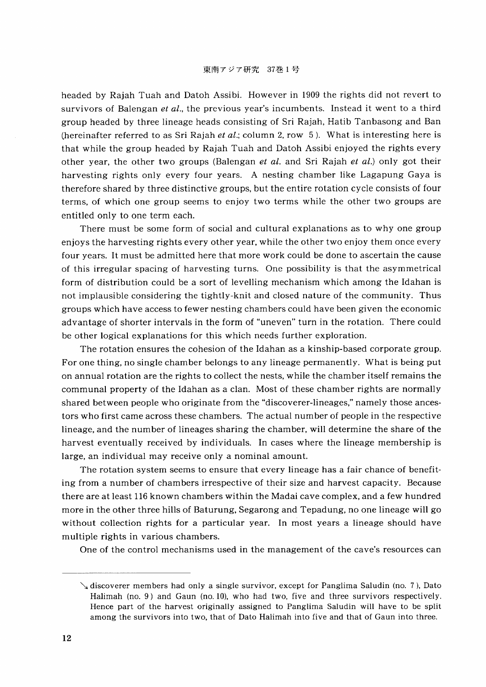### 東南アジア研究 37巻1号

headed by Rajah Tuah and Datoh Assibi. However in 1909 the rights did not revert to survivors of Balengan *et al.,* the previous year's incumbents. Instead it went to a third group headed by three lineage heads consisting of Sri Rajah, Hatib Tanbasong and Ban (hereinafter referred to as Sri Rajah *et al.;* column 2, row 5). What is interesting here is that while the group headed by Rajah Tuah and Datoh Assibi enjoyed the rights every other year, the other two groups (Balengan *et al.* and Sri Rajah *et al.)* only got their harvesting rights only every four years. A nesting chamber like Lagapung Gaya is therefore shared by three distinctive groups, but the entire rotation cycle consists of four terms, of which one group seems to enjoy two terms while the other two groups are entitled only to one term each.

There must be some form of social and cultural explanations as to why one group enjoys the harvesting rights every other year, while the other two enjoy them once every four years. It must be admitted here that more work could be done to ascertain the cause of this irregular spacing of harvesting turns. One possibility is that the asymmetrical form of distribution could be a sort of levelling mechanism which among the Idahan is not implausible considering the tightly-knit and closed nature of the community. Thus groups which have access to fewer nesting chambers could have been given the economic advantage of shorter intervals in the form of "uneven" turn in the rotation. There could be other logical explanations for this which needs further exploration.

The rotation ensures the cohesion of the Idahan as a kinship-based corporate group. For one thing, no single chamber belongs to any lineage permanently. What is being put on annual rotation are the rights to collect the nests, while the chamber itself remains the communal property of the Idahan as a clan. Most of these chamber rights are normally shared between people who originate from the "discoverer-lineages," namely those ancestors who first came across these chambers. The actual number of people in the respective lineage, and the number of lineages sharing the chamber, will determine the share of the harvest eventually received by individuals. In cases where the lineage membership is large, an individual may receive only a nominal amount.

The rotation system seems to ensure that every lineage has a fair chance of benefiting from a number of chambers irrespective of their size and harvest capacity. Because there are at least 116 known chambers within the Madai cave complex, and a few hundred more in the other three hills of Baturung, Segarong and Tepadung, no one lineage will go without collection rights for a particular year. In most years a lineage should have multiple rights in various chambers.

One of the control mechanisms used in the management of the cave's resources can

discoverer members had only a single survivor, except for Panglima Saludin (no. 7), Dato Halimah (no. 9) and Gaun (no. 10), who had two, five and three survivors respectively. Hence part of the harvest originally assigned to Panglima Saludin will have to be split among the survivors into two, that of Dato Halimah into five and that of Gaun into three.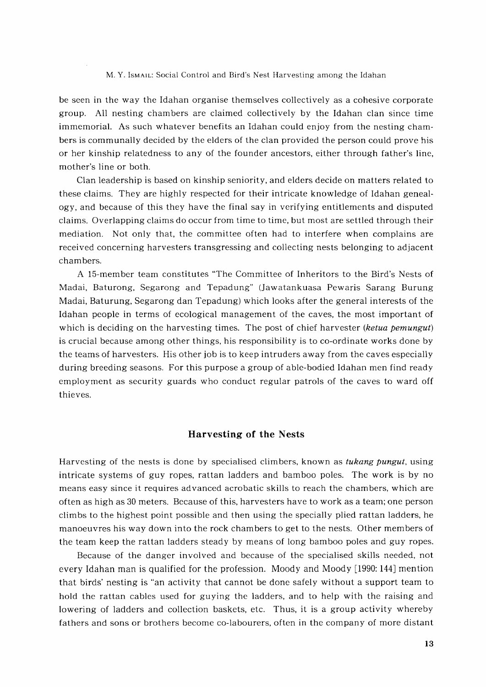be seen in the way the Idahan organise themselves collectively as a cohesive corporate group. All nesting chambers are claimed collectively by the Idahan clan since time immemorial. As such whatever benefits an Idahan could enjoy from the nesting chambers is communally decided by the elders of the clan provided the person could prove his or her kinship relatedness to any of the founder ancestors, either through father's line, mother's line or both.

Clan leadership is based on kinship seniority, and elders decide on matters related to these claims. They are highly respected for their intricate knowledge of Idahan genealogy, and because of this they have the final say in verifying entitlements and disputed claims. Overlapping claims do occur from time to time, but most are settled through their mediation. Not only that, the committee often had to interfere when complains are received concerning harvesters transgressing and collecting nests belonging to adjacent chambers.

A 15-member team constitutes "The Committee of Inheritors to the Bird's Nests of Madai, Baturong, Segarong and Tepadung" (Jawatankuasa Pewaris Sarang Burung Madai, Baturung, Segarong dan Tepadung) which looks after the general interests of the Idahan people in terms of ecological management of the caves, the most important of which is deciding on the harvesting times. The post of chief harvester (ketua pemungut) is crucial because among other things, his responsibility is to co-ordinate works done by the teams of harvesters. His other job is to keep intruders away from the caves especially during breeding seasons. For this purpose a group of able-bodied Idahan men find ready employment as security guards who conduct regular patrols of the caves to ward off thieves.

## **Harvesting of the Nests**

Harvesting of the nests is done by specialised climbers, known as tukang pungut, using intricate systems of guy ropes, rattan ladders and bamboo poles. The work is by no means easy since it requires advanced acrobatic skills to reach the chambers, which are often as high as 30 meters. Because of this, harvesters have to work as a team; one person climbs to the highest point possible and then using the specially plied rattan ladders, he manoeuvres his way down into the rock chambers to get to the nests. Other members of the team keep the rattan ladders steady by means of long bamboo poles and guy ropes.

Because of the danger involved and because of the specialised skills needed, not every Idahan man is qualified for the profession. Moody and Moody [1990: 144] mention that birds' nesting is "an activity that cannot be done safely without a support team to hold the rattan cables used for guying the ladders, and to help with the raising and lowering of ladders and collection baskets, etc. Thus, it is a group activity whereby fathers and sons or brothers become co-labourers, often in the company of more distant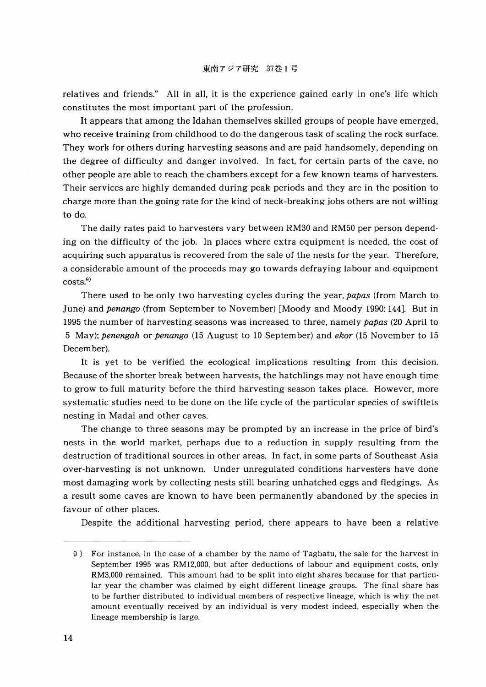relatives and friends." All in all, it is the experience gained early in one's life which constitutes the most important part of the profession.

It appears that among the Idahan themselves skilled groups of people have emerged, who receive training from childhood to do the dangerous task of scaling the rock surface. They work for others during harvesting seasons and are paid handsomely, depending on the degree of difficulty and danger involved. In fact, for certain parts of the cave, no other people are able to reach the chambers except for a few known teams of harvesters. Their services are highly demanded during peak periods and they are in the position to charge more than the going rate for the kind of neck-breaking jobs others are not willing to do.

The daily rates paid to harvesters vary between RM30 and RM50 per person depending on the difficulty of the job. In places where extra equipment is needed, the cost of acquiring such apparatus is recovered from the sale of the nests for the year. Therefore, a considerable amount of the proceeds may go towards defraying labour and equipment  ${\rm costs.}^9$ 

There used to be only two harvesting cycles during the year, *papas* (from March to June) and *penango* (from September to November) [Moody and Moody 1990: 144J. But in 1995 the number of harvesting seasons was increased to three, namely *papas* (20 April to 5 May); *penengah* or *penango* (15 August to 10 September) and *ekor* (15 November to 15 December).

It is yet to be verified the ecological implications resulting from this decision. Because of the shorter break between harvests, the hatchlings may not have enough time to grow to full maturity before the third harvesting season takes place. However, more systematic studies need to be done on the life cycle of the particular species of swiftlets nesting in Madai and other caves.

The change to three seasons may be prompted by an increase in the price of bird's nests in the world market, perhaps due to a reduction in supply resulting from the destruction of traditional sources in other areas. In fact, in some parts of Southeast Asia over-harvesting is not unknown. Under unregulated conditions harvesters have done most damaging work by collecting nests still bearing unhatched eggs and fledgings. As a result some caves are known to have been permanently abandoned by the species in favour of other places.

Despite the additional harvesting period, there appears to have been a relative

<sup>9)</sup> For instance, in the case of a chamber by the name of Tagbatu, the sale for the harvest in September 1995 was RM12,OOO, but after deductions of labour and equipment costs, only RM3,OOO remained. This amount had to be split into eight shares because for that particular year the chamber was claimed by eight different lineage groups. The final share has to be further distributed to individual members of respective lineage, which is why the net amount eventually received by an individual is very modest indeed, especially when the lineage membership is large.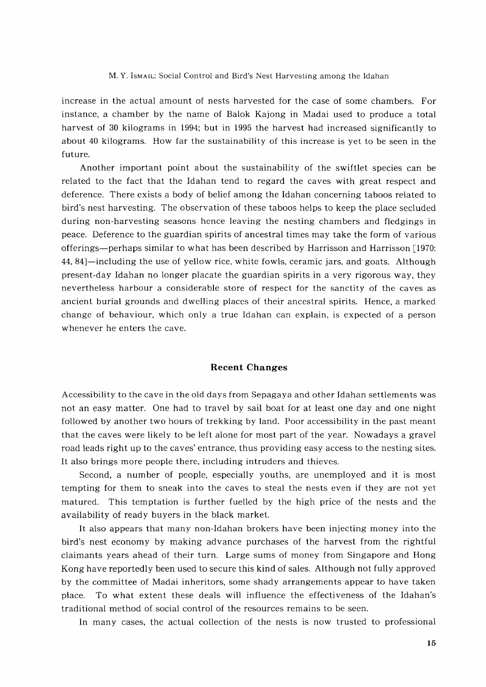increase in the actual amount of nests harvested for the case of some chambers. For instance, a chamber by the name of Balok Kajong in Madai used to produce a total harvest of 30 kilograms in 1994; but in 1995 the harvest had increased significantly to about 40 kilograms. How far the sustainability of this increase is yet to be seen in the future.

Another important point about the sustainability of the swiftlet species can be related to the fact that the Idahan tend to regard the caves with great respect and deference. There exists a body of belief among the Idahan concerning taboos related to bird's nest harvesting. The observation of these taboos helps to keep the place secluded during non-harvesting seasons hence leaving the nesting chambers and fledgings in peace. Deference to the guardian spirits of ancestral times may take the form of various offerings-perhaps similar to what has been described by Harrisson and Harrisson [1970: 44, 84]-including the use of yellow rice, white fowls, ceramic jars, and' goats. Although present-day Idahan no longer placate the guardian spirits in a very rigorous way, they nevertheless harbour a considerable store of respect for the sanctity of the caves as ancient burial grounds and dwelling places of their ancestral spirits. Hence, a marked change of behaviour, which only a true Idahan can explain, is expected of a person whenever he enters the cave.

## **Recent Changes**

Accessibility to the cave in the old days from Sepagaya and other Idahan settlements was not an easy matter. One had to travel by sail boat for at least one day and one night followed by another two hours of trekking by land. Poor accessibility in the past meant that the caves were likely to be left alone for most part of the year. Nowadays a gravel road leads right up to the caves' entrance, thus providing easy access to the nesting sites. It also brings more people there, including intruders and thieves.

Second, a number of people, especially youths, are unemployed and it is most tempting for them to sneak into the caves to steal the nests even if they are not yet matured. This temptation is further fuelled by the high price of the nests and the availability of ready buyers in the black market.

It also appears that many non-Idahan brokers have been injecting money into the bird's nest economy by making advance purchases of the harvest from the rightful claimants years ahead of their turn. Large sums of money from Singapore and Hong Kong have reportedly been used to secure this kind of sales. Although not fully approved by the committee of Madai inheritors, some shady arrangements appear to have taken place. To what extent these deals will influence the effectiveness of the Idahan's traditional method of social control of the resources remains to be seen.

In many cases, the actual collection of the nests is now trusted to professional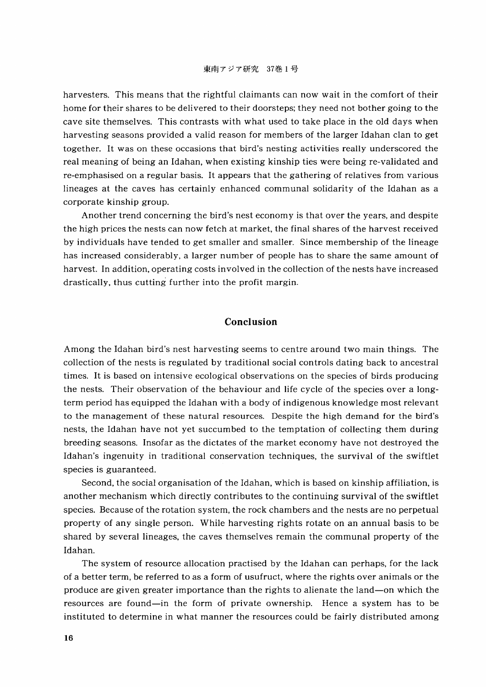harvesters. This means that the rightful claimants can now wait in the comfort of their home for their shares to be delivered to their doorsteps; they need not bother going to the cave site themselves. This contrasts with what used to take place in the old days when harvesting seasons provided a valid reason for members of the larger Idahan clan to get together. It was on these occasions that bird's nesting activities really underscored the real meaning of being an Idahan, when existing kinship ties were being re-validated and re-emphasised on a regular basis. It appears that the gathering of relatives from various lineages at the caves has certainly enhanced communal solidarity of the Idahan as a corporate kinship group.

Another trend concerning the bird's nest economy is that over the years, and despite the high prices the nests can now fetch at market, the final shares of the harvest received by individuals have tended to get smaller and smaller. Since membership of the lineage has increased considerably, a larger number of people has to share the same amount of harvest. In addition, operating costs involved in the collection of the nests have increased drastically, thus cutting further into the profit margin.

## **Conclusion**

Among the Idahan bird's nest harvesting seems to centre around two main things. The collection of the nests is regulated by traditional social controls dating back to ancestral times. It is based on intensive ecological observations on the species of birds producing the nests. Their observation of the behaviour and life cycle of the species over a longterm period has equipped the Idahan with a body of indigenous knowledge most relevant to the management of these natural resources. Despite the high demand for the bird's nests, the Idahan have not yet succumbed to the temptation of collecting them during breeding seasons. Insofar as the dictates of the market economy have not destroyed the Idahan's ingenuity in traditional conservation techniques, the survival of the swiftlet species is guaranteed.

Second, the social organisation of the Idahan, which is based on kinship affiliation, is another mechanism which directly contributes to the continuing survival of the swiftlet species. Because of the rotation system, the rock chambers and the nests are no perpetual property of any single person. While harvesting rights rotate on an annual basis to be shared by several lineages, the caves themselves remain the communal property of the Idahan.

The system of resource allocation practised by the Idahan can perhaps, for the lack of a better term, be referred to as a form of usufruct, where the rights over animals or the produce are given greater importance than the rights to alienate the land-on which the resources are found-in the form of private ownership. Hence a system has to be instituted to determine in what manner the resources could be fairly distributed among